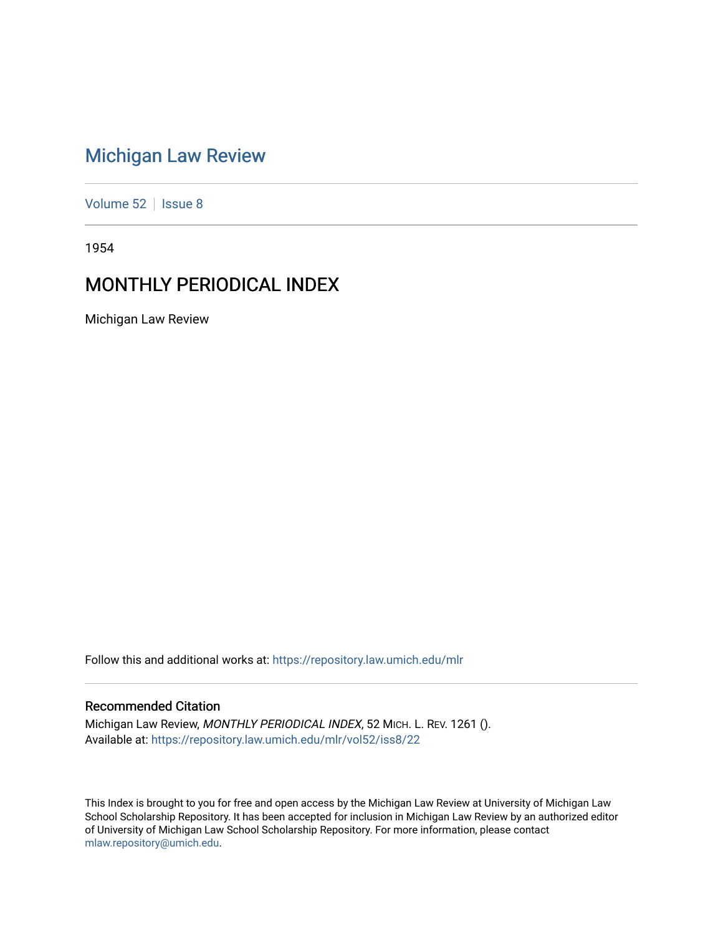## [Michigan Law Review](https://repository.law.umich.edu/mlr)

[Volume 52](https://repository.law.umich.edu/mlr/vol52) | [Issue 8](https://repository.law.umich.edu/mlr/vol52/iss8)

1954

## MONTHLY PERIODICAL INDEX

Michigan Law Review

Follow this and additional works at: [https://repository.law.umich.edu/mlr](https://repository.law.umich.edu/mlr?utm_source=repository.law.umich.edu%2Fmlr%2Fvol52%2Fiss8%2F22&utm_medium=PDF&utm_campaign=PDFCoverPages) 

#### Recommended Citation

Michigan Law Review, MONTHLY PERIODICAL INDEX, 52 MICH. L. REV. 1261 (). Available at: [https://repository.law.umich.edu/mlr/vol52/iss8/22](https://repository.law.umich.edu/mlr/vol52/iss8/22?utm_source=repository.law.umich.edu%2Fmlr%2Fvol52%2Fiss8%2F22&utm_medium=PDF&utm_campaign=PDFCoverPages) 

This Index is brought to you for free and open access by the Michigan Law Review at University of Michigan Law School Scholarship Repository. It has been accepted for inclusion in Michigan Law Review by an authorized editor of University of Michigan Law School Scholarship Repository. For more information, please contact [mlaw.repository@umich.edu.](mailto:mlaw.repository@umich.edu)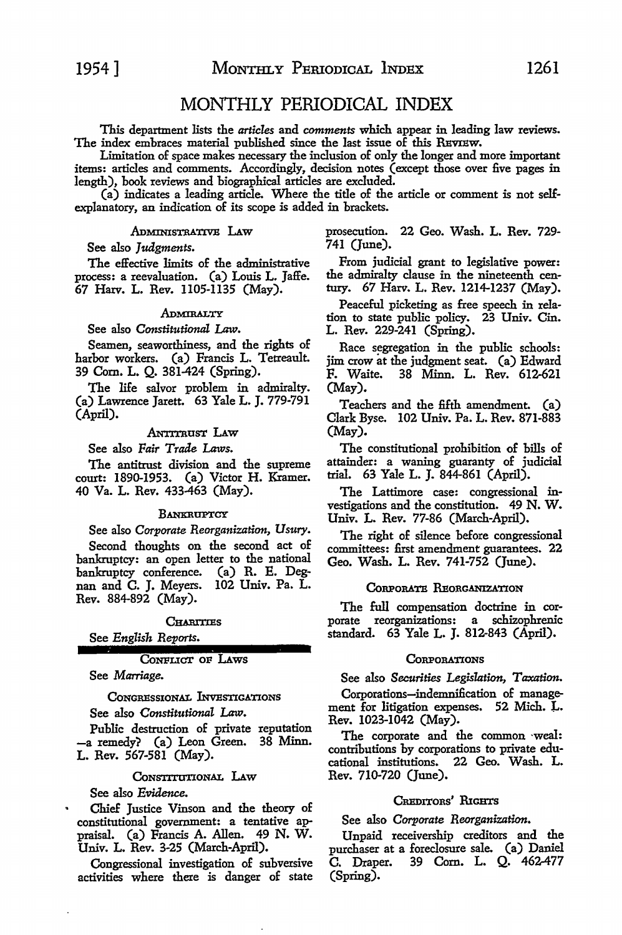#### MONTHLY PERIODICAL INDEX

This department lists the *articles* and *comments* which appear in leading law reviews. The index embraces material published since the last issue of this REVIEW.

Limitation of space makes necessary the inclusion of only the longer and more important items: articles and comments. Accordingly, decision notes (except those over five pages in length), book reviews and biographical articles are excluded.

(a) indicates a leading article. Where the title of the article or comment is not selfexplanatory, an indication of its scope is added in brackets.

#### Administrative Law

See also *Judgments.* 

The effective limits of the administrative process: a reevaluation. (a) Louis L. Jaffe. 67 Harv. L. Rev. 1105-1135 (May).

#### **ADMIRALTY**

See also *Constitutional Law.* 

Seamen, seaworthiness, and the rights of harbor workers. (a) Francis L. Tetreault. 39 Com. L. Q. 381-424 (Spring).

The life salvor problem in admiralty. (a) Lawrence Jarett. 63 Yale L. J. 779-791 (April).

#### ANTITRUST LAW

See also *Fair Trade Laws.* 

The antitrust division and the supreme court: 1890-1953. (a) Victor H. Kramer. 40 Va. L. Rev. 433-463 (May).

#### **BANKRUPTCY**

See also *Corporate Reorganization, Usury.* 

Second thoughts on the second act of bankruptcy: an open letter to the national bankruptcy conference. (a) R. E. Degnan and C. J. Meyers. 102 Univ. Pa. L. Rev. 884-892 (May).

CHARITIES

#### See *English Reports.*

#### CoNPLICT oF LAws

See *Marriage.* 

#### CONGRESSIONAL INVESTIGATIONS

See also *Constitutional Law.* 

Public destruction of private reputation -a remedy'? (a) Leon Green. 38 Minn. L. Rev. 567-581 (May).

#### CONSTITUTIONAL LAW

See also *Evidence.* 

Chief Justice Vinson and the theory of constitutional government: a tentative appraisal. (a) Francis A. Allen. 49 N. W. Univ. L. Rev. 3-25 (March-April).

Congressional investigation of subversive activities where there is danger of state prosecution. 22 Geo. Wash. L. Rev. 729- 741 (June).

From judicial grant to legislative power: the admiralty clause in the nineteenth cen- tury. 67 Harv. L. Rev. 1214-1237 (May).

Peaceful picketing as free speech in relation to state public policy. 23 Univ. Cin. L. Rev. 229-241 (Spring).

Race segregation in the public schools: jim crow at the judgment seat. (a) Edward F. Waite. 38 Minn. L. Rev. 612-621 (May).

Teachers and the fifth amendment. (a) Clark Byse. 102 Univ. Pa. L. Rev. 871-883 (May).

The constitutional prohibition of bills of attainder: a waning guaranty of judicial trial. 63 Yale L. J. 844-861 (April).

The Lattimore case: congressional investigations and the constitution. 49 **N. W.**  Univ. L. Rev. 77-86 (March-April).

The right of silence before congressional committees: first amendment guarantees. 22 Geo. Wash. L. Rev. 741-752 (June).

#### CORPORATE REORGANIZATION

The full compensation doctrine in corporate reorganizations: a schizophrenic standard. 63 Yale L. J. 812-843 (April).

#### **CORPORATIONS**

See also *Securities Legislation, Taxation.* 

Corporations-indemnification of management for litigation expenses. 52 Mich. L. Rev. 1023-1042 (May).

The corporate and the common ·weal: contributions by corporations to private educational institutions. 22 Geo. Wash. L. Rev. 710-720 (June).

#### CREDITORS' RIGHTS

See also *Corporate Reorganization.* 

Unpaid receivership creditors and the purchaser at a foreclosure sale. (a) Daniel C. Draper. 39 Com. L. Q. 462-477 (Spring).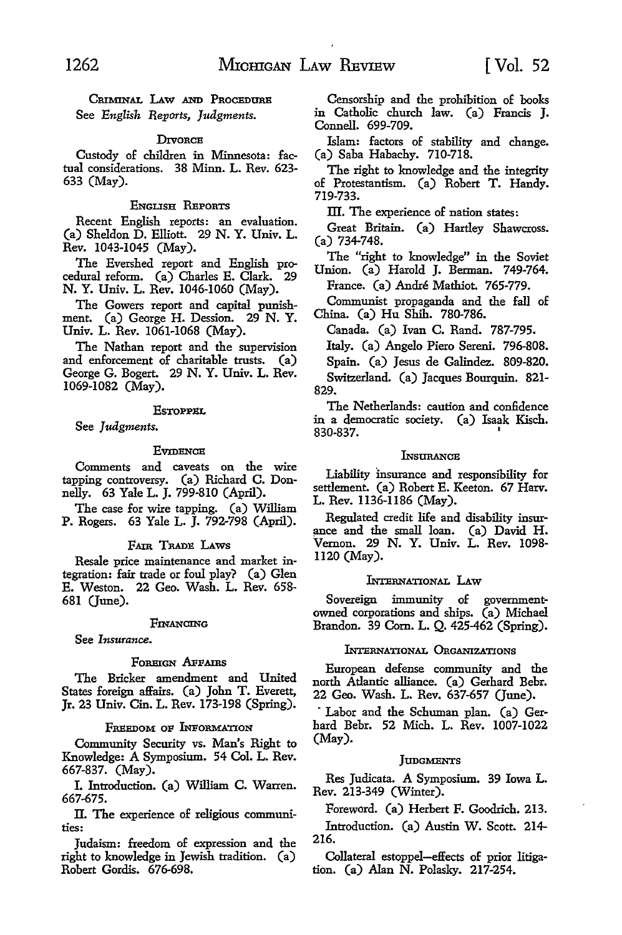CRIMINAL LAW AND PROCEDURE See *English Reports, Judgments.* 

#### **DIVORCE**

Custody of children in Minnesota: factual considerations. 38 Minn. L. Rev. 623- 633 (May).

#### ENGLISH REPORTS

Recent English reports: an evaluation. (a) Sheldon D. Elliott. 29 N. Y. Univ. L. Rev. 1043-1045 (May).

The Evershed report and English procedural reform. (a) Charles E. Clark. 29 N. Y. Univ. L. Rev. 1046-1060 (May).

The Gowers report and capital punishment. (a) George H. Dession. 29 N. Y. Univ. L. Rev. 1061-1068 (May).

The Nathan report and the supervision and enforcement of charitable trusts. (a) George G. Bogert. 29 N. Y. Univ. L. Rev. 1069-1082 (May).

#### **EsTOPPEL**

See *Judgments.* 

#### **EVIDENCE**

Comments and caveats on the wire tapping controversy. (a) Richard C. Donnelly. 63 Yale L. J. 799-810 (April).

The case for wire tapping. (a) William P. Rogers. 63 Yale L. J. 792-798 (April).

#### FAIR TRADE LAWS

Resale price maintenance and market integration: fair trade or foul play? (a) Glen E. Weston. 22 Geo. Wash. L. Rev. 658- 681 (June).

#### **FINANCING**

See *Insurance.* 

#### FOREIGN AFFAIRS

The Bricker amendment and United States foreign affairs. (a) John T. Everett, Jr. 23 Univ. Cin. L. Rev. 173-198 (Spring).

#### FREEDOM oP lNPoRMATION

Community Security vs. Man's Right to Knowledge: A Symposium. 54 Col. L. Rev. 667-837. (May).

I. Introduction. (a) William C. Warren. 667-675.

II. The experience of religious communities:

Judaism: freedom of expression and the right to knowledge in Jewish tradition. (a) Robert Gordis. 676-698.

Censorship and the prohibition of books in Catholic church law. (a) Francis **J.**  Connell. 699-709.

Islam: factors of stability and change. (a) Saba Habachy. 710-718.

The right to knowledge and the integrity of Protestantism. (a) Robert T. Handy. 719-733.

III. The experience of nation states:

Great Britain. (a) Hartley Shawcross. (a) 734-748.

The "right to knowledge" in the Soviet Union. (a) Harold J. Berman. 749-764.

France. (a) Andre Mathiot. 765-779.

Communist propaganda and the fall of China. (a) Hu Shih. 780-786.

Canada. (a) Ivan C. Rand. 787-795.

Italy. (a) Angelo Piero Sereni. 796-808.

Spain. (a) Jesus de Galindez. 809-820.

Switzerland. (a) Jacques Bourquin. 821- 829.

The Netherlands: caution and confidence in a democratic society. (a) Isaak Kisch. 830-837.

#### **L**NSURANCE

Liability insurance and responsibility for settlement. (a) Robert E. Keeton. 67 Harv. L. Rev. 1136-1186 (May).

Regulated credit life and disability insur ance and the small loan. (a) David H. Vernon. 29 N. Y. Univ. L. Rev. 1098- 1120 (May).

#### INTERNATIONAL LAW

Sovereign immunity of governmentowned corporations and ships. (a) Michael Brandon. 39 Com. L. Q. 425-462 (Spring).

#### lNrERNATIONAL 0nGANIZATIONS

European defense community and the north Atlantic alliance. (a) Gerhard Behr. 22 Geo. Wash. L. Rev. 637-657 (June).

Labor and the Schuman plan. (a) Gerhard Behr. 52 Mich. L. Rev. 1007-1022 (May).

#### **JUDGMENTS**

Res Judicata. A Symposium. 39 Iowa L. Rev. 213-349 (Winter).

Foreword. (a) Herbert F. Goodrich. 213.

Introduction. (a) Austin W. Scott. 214- 216.

Collateral estoppel-effects of prior litigation. (a) Alan N. Polasky. 217-254.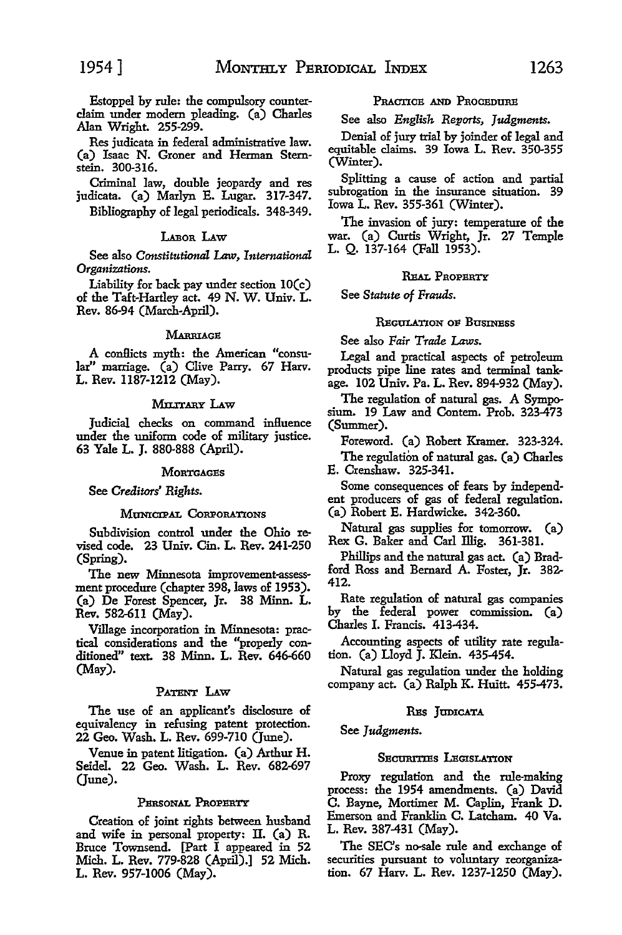Res judicata in federal administrative law. (a) Isaac N. Groner and Herman Sternstein. 300-316.

Criminal law, double jeopardy and res judicata. (a) Marlyn E. Lugar. 317-347. Bibliography of legal periodicals. 348-349.

#### LABoR I.Aw

See also *Constitutional Law, International Organizations.* 

Liability for back pay under section IO(c) of the Taft-Hartley act. 49 N. W. Univ. L. Rev. 86-94 (March-April).

#### MARRIAGE

A conHicts myth: the American "consular" marriage. (a) Clive Parry. 67 Harv. L. Rev. 1187-1212 (May).

#### MILITARY LAW

Judicial checks on command influence under the uniform code of military justice. 63 Yale L. J. 880-888 (April).

#### **MORTGAGES**

See *Creditors' Rights.* 

#### MUNICIPAL CORPORATIONS

Subdivision control under the Ohio revised code. 23 Univ. Cin. L. Rev. 241-250 (Spring).

The new Minnesota improvement-assessment procedure (chapter 398, laws of 1953). (a) De Forest Spencer, Jr. 38 Minn. L. Rev. 582-611 (May).

Village incorporation in Minnesota: practical considerations and the "properly conditioned" text. 38 Minn. L. Rev. 646-660 (May).

#### PATENT LAW

The use of an applicant's disclosure of equivalency in refusing patent protection. 22 Geo. Wash. L. Rev. 699-710 Qune).

Venue in patent litigation. (a) Arthur H. Seidel. 22 Geo. Wash. L. Rev. 682-697 (June).

#### PERSONAL PROPERTY

Creation of joint rights between husband and wife in personal property: II. (a) R. Bruce Townsend. [Part I appeared in 52 Mich. L. Rev. 779·828 (April).] 52 Mich. L. Rev. 957-1006 (May).

#### PRACTICE AND PROCEDURE

See also *English Reports, Judgments.* 

Denial of jury trial by joinder of legal and equitable claims. 39 Iowa L. Rev. 350-355 (Winter).

Splitting a cause of action and partial subrogation in the insurance situation. 39 Iowa L. Rev. 355-361 (Winter).

The invasion of jury: temperature of the war. (a) Curtis Wright, Jr. 27 Temple L. Q. 137-164 (Fall 1953).

#### REAL PROPERTY

See *Statute of Frauds.* 

#### **REGILATION OF BUSINESS**

See also *Fair Trade Laws.* 

Legal and practical aspects of petroleum products pipe line rates and terminal tankage. 102 Univ. Pa. L. Rev. 894-932 (May).

The regulation of natural gas. A Symposium. 19 Law and Contem. Prob. 323-473 (Summer).

Foreword. (a) Robert Kramer. 323-324.

The regulation of natural gas. (a) Charles E. Crenshaw. 325-341.

Some consequences of fears by independent producers of gas of federal regulation. (a) Robert E. Hardwicke. 342-360.

Natural gas supplies for tomorrow. (a) Rex G. Baker and Carl Illig. 361-381.

Phillips and the natural gas act. (a) Bradford Ross and Bernard A. Foster, **Jr.** 382- 412.

Rate regulation of natural gas companies by the federal power commission. (a) Charles I. Francis. 413-434.

Accounting aspects of utility rate regulation. (a) Lloyd J. Klein. 435-454.

Natural gas regulation under the holding company act. (a) Ralph K. Huitt. 455-473.

#### RES JUDICATA

See *Judgments.* 

#### SECURITIES LEGISLATION

Proxy regulation and the rule-making process: the 1954 amendments. (a) David C. Bayne, Mortimer M. Caplin, Frank D. Emerson and Franklin C. Latcham. 40 Va. L. Rev. 387-431 (May).

The SEC's no-sale rule and exchange of securities pursuant to voluntary reorganization. 67 Harv. L. Rev. 1237-1250 (May).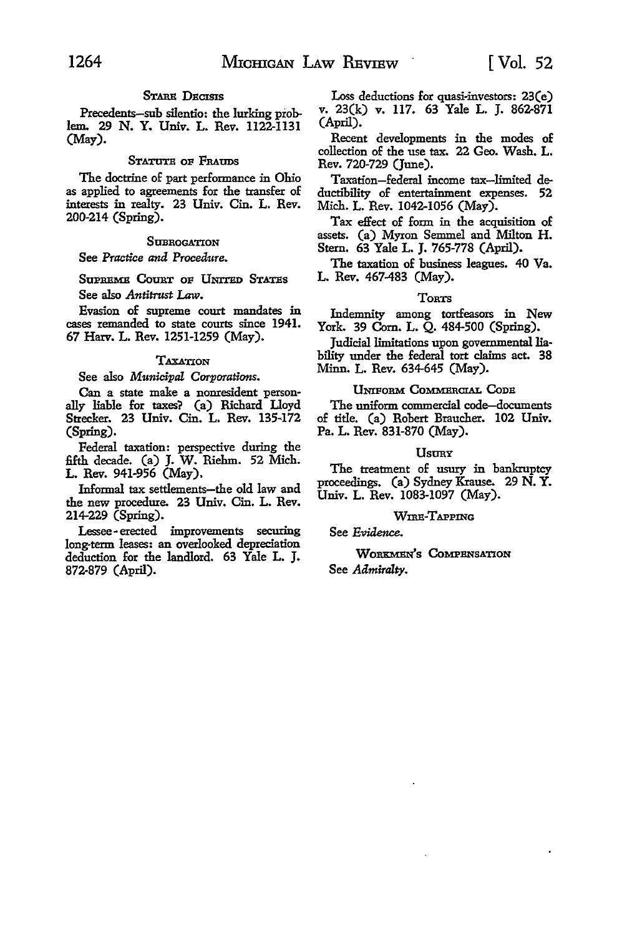#### STARE DECISIS

Precedents-sub silentio: the lurking problem.. 29 N. Y. Univ. L. Rev. 1122-1131 (May).

#### STATUTE OF FRAUDS

The doctrine of part performance in Ohio as applied to agreements for the transfer of interests in realty. 23 Univ. Cin. L. Rev. 200-214 (Spring).

#### **SUBROGATION**

See *Practice and Procedure.* 

SUPREME COURT OF UNITED STATES See also *Antitrust Law.* 

Evasion of supreme court mandates in cases remanded to state courts since 1941. 67 Harv. L. Rev. 1251-1259 (May).

#### **TAXATION**

See also *Municipal Corporations.* 

Can a state make a nonresident personally liable for taxes'? (a) Richard Lloyd Strecker. 23 Univ. Cin. L. Rev. 135-172 (Spring).

Federal taxation: perspective during the fifth decade. (a) J. W. Riehm. 52 Mich. L. Rev. 941-956 (May).

Informal tax settlements-the old law and the new procedure. 23 Univ. Cin. L. Rev. 214-229 (Spring).

Lessee-erected improvements securing long-term leases: an overlooked depreciation deduction for the landlord. 63 Yale L. J. 872-879 (April).

Loss deductions for quasi-investors: 23(e) v. 23(k) v. 117. 63 Yale L. J. 862-871 (April).

Recent developments in the modes of collection of the use tax. 22 Geo. Wash. L. Rev. 720-729 Qune).

Taxation-federal income tax-limited deductibility of entertainment expenses. 52 Mich. L. Rev. 1042-1056 (May).

Tax effect of form in the acquisition of assets. (a) Myron Semmel and Milton H. Stern. 63 Yale L. J. 765-778 (April).

The taxation of business leagues. 40 Va. L. Rev. 467-483 (May).

#### **TORTS**

Indemnity among tortfeasors in New York. 39 Com. L. Q. 484-500 (Spring).

Judicial limitations upon governmental liability under the federal tort claims act. 38 Minn. L. Rev. 634-645 (May).

#### UNIFORM CoMMERCIAL Coos

The uniform commercial code-documents of title. (a) Robert Braucher. 102 Univ. Pa. L. Rev. 831-870 (May).

#### **Usury**

The treatment of usury in bankruptcy proceedings. (a) Sydney Krause. 29 N. Y. Univ. L. Rev. 1083-1097 (May).

#### WIRE-TAPPING

See Evidence.

WORKMEN'S COMPENSATION See *Admiralty.*